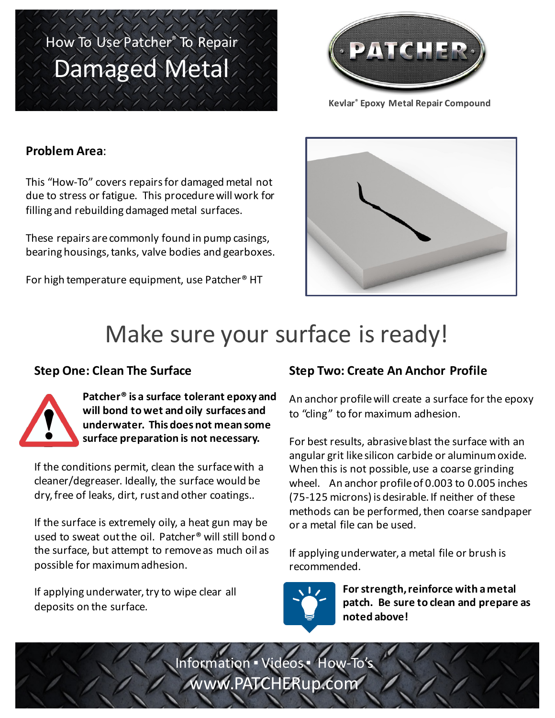## How To Use Patcher® To Repair Damaged Metal



**Kevlar® Epoxy Metal Repair Compound**

### **Problem Area**:

This "How-To" covers repairs for damaged metal not due to stress or fatigue. This procedure will work for filling and rebuilding damaged metal surfaces.

These repairs are commonly found in pump casings, bearing housings, tanks, valve bodies and gearboxes.

For high temperature equipment, use Patcher<sup>®</sup> HT



### Make sure your surface is ready!

#### **Step One: Clean The Surface**



Patcher<sup>®</sup> is a surface tolerant epoxy and will bond to wet and oily surfaces and **underwater. This does not mean some**  surface preparation is not necessary.

If the conditions permit, clean the surface with a cleaner/degreaser. Ideally, the surface would be dry, free of leaks, dirt, rust and other coatings..

If the surface is extremely oily, a heat gun may be used to sweat out the oil. Patcher<sup>®</sup> will still bond o the surface, but attempt to remove as much oil as possible for maximum adhesion.

If applying underwater, try to wipe clear all deposits on the surface.

### **Step Two: Create An Anchor Profile**

An anchor profile will create a surface for the epoxy to "cling" to for maximum adhesion.

For best results, abrasive blast the surface with an angular grit like silicon carbide or aluminum oxide. When this is not possible, use a coarse grinding wheel. An anchor profile of 0.003 to 0.005 inches (75-125 microns) is desirable. If neither of these methods can be performed, then coarse sandpaper or a metal file can be used.

If applying underwater, a metal file or brush is recommended.



For strength, reinforce with a metal patch. Be sure to clean and prepare as **noted above!**

Information · Videos · How-To www.PATCHERup.com